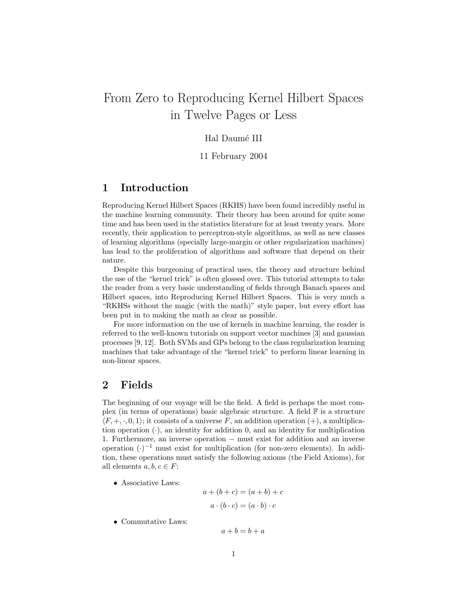# From Zero to Reproducing Kernel Hilbert Spaces in Twelve Pages or Less

# Hal Daum´e III

# 11 February 2004

# 1 Introduction

Reproducing Kernel Hilbert Spaces (RKHS) have been found incredibly useful in the machine learning community. Their theory has been around for quite some time and has been used in the statistics literature for at least twenty years. More recently, their application to perceptron-style algorithms, as well as new classes of learning algorithms (specially large-margin or other regularization machines) has lead to the proliferation of algorithms and software that depend on their nature.

Despite this burgeoning of practical uses, the theory and structure behind the use of the "kernel trick" is often glossed over. This tutorial attempts to take the reader from a very basic understanding of fields through Banach spaces and Hilbert spaces, into Reproducing Kernel Hilbert Spaces. This is very much a "RKHSs without the magic (with the math)" style paper, but every effort has been put in to making the math as clear as possible.

For more information on the use of kernels in machine learning, the reader is referred to the well-known tutorials on support vector machines [3] and gaussian processes [9, 12]. Both SVMs and GPs belong to the class regularization learning machines that take advantage of the "kernel trick" to perform linear learning in non-linear spaces.

# 2 Fields

The beginning of our voyage will be the field. A field is perhaps the most complex (in terms of operations) basic algebraic structure. A field  $\mathbb F$  is a structure  $\langle F, +, \cdot, 0, 1 \rangle$ ; it consists of a universe F, an addition operation (+), a multiplication operation  $(\cdot)$ , an identity for addition 0, and an identity for multiplication 1. Furthermore, an inverse operation − must exist for addition and an inverse operation  $(\cdot)^{-1}$  must exist for multiplication (for non-zero elements). In addition, these operations must satisfy the following axioms (the Field Axioms), for all elements  $a, b, c \in F$ :

• Associative Laws:

$$
a + (b + c) = (a + b) + c
$$

$$
a \cdot (b \cdot c) = (a \cdot b) \cdot c
$$

• Commutative Laws:

 $a + b = b + a$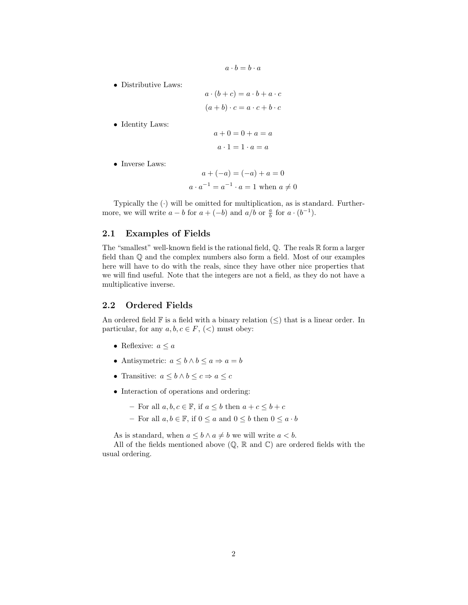$$
a \cdot b = b \cdot a
$$

• Distributive Laws:

 $a \cdot (b+c) = a \cdot b + a \cdot c$  $(a + b) \cdot c = a \cdot c + b \cdot c$ 

• Identity Laws:

$$
a + 0 = 0 + a = a
$$

$$
a \cdot 1 = 1 \cdot a = a
$$

• Inverse Laws:

$$
a + (-a) = (-a) + a = 0
$$
  
 $a \cdot a^{-1} = a^{-1} \cdot a = 1$  when  $a \neq 0$ 

Typically the  $\left(\cdot\right)$  will be omitted for multiplication, as is standard. Furthermore, we will write  $a - b$  for  $a + (-b)$  and  $a/b$  or  $\frac{a}{b}$  for  $a \cdot (b^{-1})$ .

# 2.1 Examples of Fields

The "smallest" well-known field is the rational field, Q. The reals R form a larger field than Q and the complex numbers also form a field. Most of our examples here will have to do with the reals, since they have other nice properties that we will find useful. Note that the integers are not a field, as they do not have a multiplicative inverse.

## 2.2 Ordered Fields

An ordered field  $\mathbb F$  is a field with a binary relation  $(\leq)$  that is a linear order. In particular, for any  $a, b, c \in F$ ,  $(<)$  must obey:

- Reflexive:  $a \leq a$
- Antisymetric:  $a \leq b \land b \leq a \Rightarrow a = b$
- Transitive:  $a \leq b \land b \leq c \Rightarrow a \leq c$
- Interaction of operations and ordering:
	- For all  $a, b, c \in \mathbb{F}$ , if  $a \leq b$  then  $a + c \leq b + c$
	- For all  $a, b \in \mathbb{F}$ , if  $0 \le a$  and  $0 \le b$  then  $0 \le a \cdot b$

As is standard, when  $a \leq b \land a \neq b$  we will write  $a < b$ .

All of the fields mentioned above  $(\mathbb{Q}, \mathbb{R} \text{ and } \mathbb{C})$  are ordered fields with the usual ordering.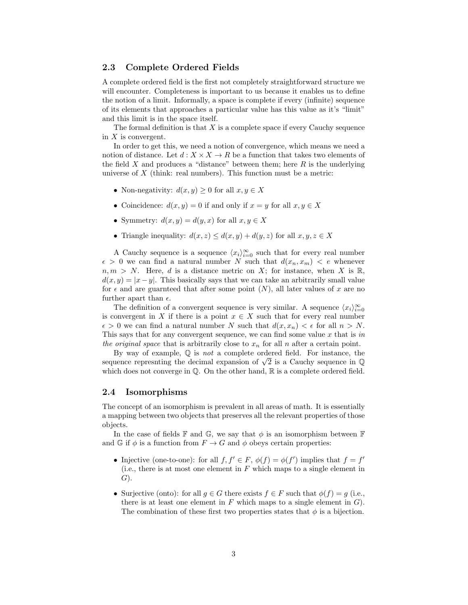# 2.3 Complete Ordered Fields

A complete ordered field is the first not completely straightforward structure we will encounter. Completeness is important to us because it enables us to define the notion of a limit. Informally, a space is complete if every (infinite) sequence of its elements that approaches a particular value has this value as it's "limit" and this limit is in the space itself.

The formal definition is that  $X$  is a complete space if every Cauchy sequence in  $X$  is convergent.

In order to get this, we need a notion of convergence, which means we need a notion of distance. Let  $d: X \times X \to R$  be a function that takes two elements of the field  $X$  and produces a "distance" between them; here  $R$  is the underlying universe of  $X$  (think: real numbers). This function must be a metric:

- Non-negativity:  $d(x, y) \geq 0$  for all  $x, y \in X$
- Coincidence:  $d(x, y) = 0$  if and only if  $x = y$  for all  $x, y \in X$
- Symmetry:  $d(x, y) = d(y, x)$  for all  $x, y \in X$
- Triangle inequality:  $d(x, z) \leq d(x, y) + d(y, z)$  for all  $x, y, z \in X$

A Cauchy sequence is a sequence  $\langle x_i \rangle_{i=0}^{\infty}$  such that for every real number  $\epsilon > 0$  we can find a natural number N such that  $d(x_n, x_m) < \epsilon$  whenever  $n, m > N$ . Here, d is a distance metric on X; for instance, when X is R,  $d(x, y) = |x - y|$ . This basically says that we can take an arbitrarily small value for  $\epsilon$  and are guarnteed that after some point  $(N)$ , all later values of x are no further apart than  $\epsilon$ .

The definition of a convergent sequence is very similar. A sequence  $\langle x_i \rangle_{i=0}^{\infty}$ is convergent in X if there is a point  $x \in X$  such that for every real number  $\epsilon > 0$  we can find a natural number N such that  $d(x, x_n) < \epsilon$  for all  $n > N$ . This says that for any convergent sequence, we can find some value  $x$  that is in the original space that is arbitrarily close to  $x_n$  for all n after a certain point.

By way of example,  $\mathbb Q$  is *not* a complete ordered field. For instance, the By way of example,  $\psi$  is *not* a complete ordered field. For instance, the sequence represnting the decimal expansion of  $\sqrt{2}$  is a Cauchy sequence in  $\mathbb Q$ which does not converge in  $\mathbb{O}$ . On the other hand,  $\mathbb{R}$  is a complete ordered field.

## 2.4 Isomorphisms

The concept of an isomorphism is prevalent in all areas of math. It is essentially a mapping between two objects that preserves all the relevant properties of those objects.

In the case of fields  $\mathbb F$  and  $\mathbb G$ , we say that  $\phi$  is an isomorphism between  $\mathbb F$ and G if  $\phi$  is a function from  $F \to G$  and  $\phi$  obeys certain properties:

- Injective (one-to-one): for all  $f, f' \in F$ ,  $\phi(f) = \phi(f')$  implies that  $f = f'$ (i.e., there is at most one element in  $F$  which maps to a single element in  $G$ ).
- Surjective (onto): for all  $g \in G$  there exists  $f \in F$  such that  $\phi(f) = g$  (i.e., there is at least one element in  $F$  which maps to a single element in  $G$ ). The combination of these first two properties states that  $\phi$  is a bijection.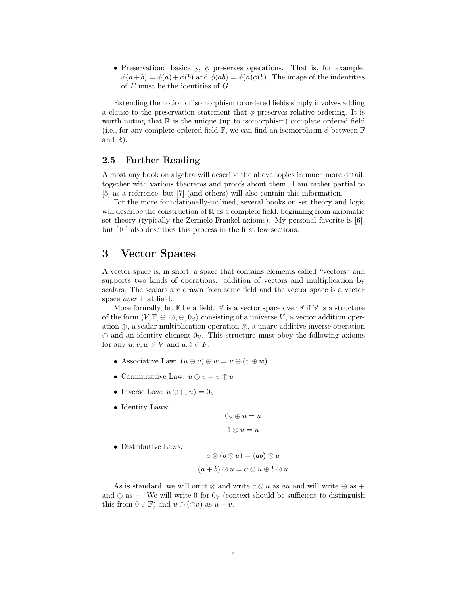• Preservation: basically,  $\phi$  preserves operations. That is, for example,  $\phi(a+b) = \phi(a) + \phi(b)$  and  $\phi(ab) = \phi(a)\phi(b)$ . The image of the indentities of  $F$  must be the identities of  $G$ .

Extending the notion of isomorphism to ordered fields simply involves adding a clause to the preservation statement that  $\phi$  preserves relative ordering. It is worth noting that  $\mathbb R$  is the unique (up to isomorphism) complete ordered field (i.e., for any complete ordered field  $\mathbb{F}$ , we can find an isomorphism  $\phi$  between  $\mathbb{F}$ and  $\mathbb{R}$ ).

# 2.5 Further Reading

Almost any book on algebra will describe the above topics in much more detail, together with various theorems and proofs about them. I am rather partial to [5] as a reference, but [7] (and others) will also contain this information.

For the more foundationally-inclined, several books on set theory and logic will describe the construction of  $\mathbb R$  as a complete field, beginning from axiomatic set theory (typically the Zermelo-Frankel axioms). My personal favorite is [6], but [10] also describes this process in the first few sections.

# 3 Vector Spaces

A vector space is, in short, a space that contains elements called "vectors" and supports two kinds of operations: addition of vectors and multiplication by scalars. The scalars are drawn from some field and the vector space is a vector space over that field.

More formally, let  $\mathbb F$  be a field.  $\mathbb V$  is a vector space over  $\mathbb F$  if  $\mathbb V$  is a structure of the form  $\langle V, \mathbb{F}, \oplus, \otimes, \ominus, 0_{V} \rangle$  consisting of a universe V, a vector addition operation ⊕, a scalar multiplication operation ⊗, a unary additive inverse operation  $\Theta$  and an identity element  $0_{V}$ . This structure must obey the following axioms for any  $u, v, w \in V$  and  $a, b \in F$ :

- Associative Law:  $(u \oplus v) \oplus w = u \oplus (v \oplus w)$
- Commutative Law:  $u \oplus v = v \oplus u$
- Inverse Law:  $u \oplus (\ominus u) = 0_{\mathbb{V}}$
- Identity Laws:

$$
0_{\mathbb{V}} \oplus u = u
$$

$$
1 \otimes u = u
$$

• Distributive Laws:

$$
a \otimes (b \otimes u) = (ab) \otimes u
$$

$$
(a+b) \otimes u = a \otimes u \oplus b \otimes u
$$

As is standard, we will omit  $\otimes$  and write  $a \otimes u$  as au and will write  $\oplus$  as + and  $\ominus$  as −. We will write 0 for 0<sub>V</sub> (context should be sufficient to distinguish this from  $0 \in \mathbb{F}$ ) and  $u \oplus (\ominus v)$  as  $u - v$ .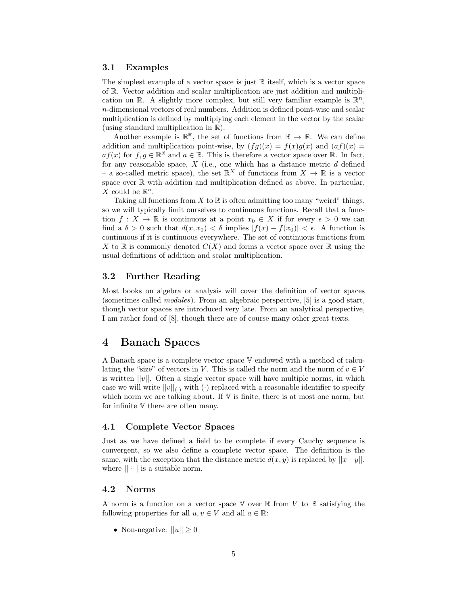# 3.1 Examples

The simplest example of a vector space is just  $\mathbb R$  itself, which is a vector space of R. Vector addition and scalar multiplication are just addition and multiplication on  $\mathbb{R}$ . A slightly more complex, but still very familiar example is  $\mathbb{R}^n$ , n-dimensional vectors of real numbers. Addition is defined point-wise and scalar multiplication is defined by multiplying each element in the vector by the scalar (using standard multiplication in R).

Another example is  $\mathbb{R}^{\mathbb{R}}$ , the set of functions from  $\mathbb{R} \to \mathbb{R}$ . We can define addition and multiplication point-wise, by  $(fg)(x) = f(x)g(x)$  and  $(af)(x) =$  $af(x)$  for  $f, g \in \mathbb{R}^{\mathbb{R}}$  and  $a \in \mathbb{R}$ . This is therefore a vector space over  $\mathbb{R}$ . In fact, for any reasonable space,  $X$  (i.e., one which has a distance metric  $d$  defined – a so-called metric space), the set  $\mathbb{R}^X$  of functions from  $X \to \mathbb{R}$  is a vector space over  $\mathbb R$  with addition and multiplication defined as above. In particular, X could be  $\mathbb{R}^n$ .

Taking all functions from  $X$  to  $\mathbb R$  is often admitting too many "weird" things, so we will typically limit ourselves to continuous functions. Recall that a function  $f: X \to \mathbb{R}$  is continuous at a point  $x_0 \in X$  if for every  $\epsilon > 0$  we can find a  $\delta > 0$  such that  $d(x, x_0) < \delta$  implies  $|f(x) - f(x_0)| < \epsilon$ . A function is continuous if it is continuous everywhere. The set of continuous functions from X to  $\mathbb R$  is commonly denoted  $C(X)$  and forms a vector space over  $\mathbb R$  using the usual definitions of addition and scalar multiplication.

# 3.2 Further Reading

Most books on algebra or analysis will cover the definition of vector spaces (sometimes called modules). From an algebraic perspective, [5] is a good start, though vector spaces are introduced very late. From an analytical perspective, I am rather fond of [8], though there are of course many other great texts.

# 4 Banach Spaces

A Banach space is a complete vector space V endowed with a method of calculating the "size" of vectors in V. This is called the norm and the norm of  $v \in V$ is written  $||v||$ . Often a single vector space will have multiple norms, in which case we will write  $||v||_{(.)}$  with  $(\cdot)$  replaced with a reasonable identifier to specify which norm we are talking about. If  $V$  is finite, there is at most one norm, but for infinite V there are often many.

## 4.1 Complete Vector Spaces

Just as we have defined a field to be complete if every Cauchy sequence is convergent, so we also define a complete vector space. The definition is the same, with the exception that the distance metric  $d(x, y)$  is replaced by  $||x-y||$ , where  $|| \cdot ||$  is a suitable norm.

# 4.2 Norms

A norm is a function on a vector space  $\mathbb V$  over  $\mathbb R$  from V to  $\mathbb R$  satisfying the following properties for all  $u, v \in V$  and all  $a \in \mathbb{R}$ :

• Non-negative:  $||u|| \geq 0$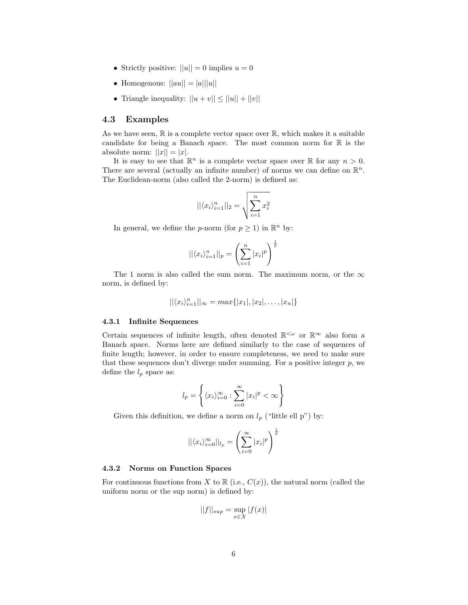- Strictly positive:  $||u|| = 0$  implies  $u = 0$
- Homogenous:  $||au|| = |a|| ||u||$
- Triangle inequality:  $||u + v|| \le ||u|| + ||v||$

# 4.3 Examples

As we have seen,  $\mathbb R$  is a complete vector space over  $\mathbb R$ , which makes it a suitable candidate for being a Banach space. The most common norm for  $\mathbb R$  is the absolute norm:  $||x|| = |x|$ .

It is easy to see that  $\mathbb{R}^n$  is a complete vector space over  $\mathbb R$  for any  $n > 0$ . There are several (actually an infinite number) of norms we can define on  $\mathbb{R}^n$ . The Euclidean-norm (also called the 2-norm) is defined as:

$$
||\langle x_i \rangle_{i=1}^n||_2 = \sqrt{\sum_{i=1}^n x_i^2}
$$

In general, we define the *p*-norm (for  $p \geq 1$ ) in  $\mathbb{R}^n$  by:

$$
||\langle x_i \rangle_{i=1}^n||_p = \left(\sum_{i=1}^n |x_i|^p\right)^{\frac{1}{p}}
$$

The 1 norm is also called the sum norm. The maximum norm, or the  $\infty$ norm, is defined by:

$$
||\langle x_i \rangle_{i=1}^n||_{\infty} = max\{|x_1|, |x_2|, \ldots, |x_n|\}
$$

#### 4.3.1 Infinite Sequences

Certain sequences of infinite length, often denoted  $\mathbb{R}^{\leq \omega}$  or  $\mathbb{R}^{\infty}$  also form a Banach space. Norms here are defined similarly to the case of sequences of finite length; however, in order to ensure completeness, we need to make sure that these sequences don't diverge under summing. For a positive integer  $p$ , we define the  $l_p$  space as:

$$
l_p = \left\{ \langle x_i \rangle_{i=0}^{\infty} : \sum_{i=0}^{\infty} |x_i|^p < \infty \right\}
$$

Given this definition, we define a norm on  $l_p$  ("little ell p") by:

$$
||\langle x_i \rangle_{i=0}^{\infty}||_{l_p} = \left(\sum_{i=0}^{\infty} |x_i|^p\right)^{\frac{1}{p}}
$$

#### 4.3.2 Norms on Function Spaces

For continuous functions from X to  $\mathbb R$  (i.e.,  $C(x)$ ), the natural norm (called the uniform norm or the sup norm) is defined by:

$$
||f||_{sup} = \sup_{x \in X} |f(x)|
$$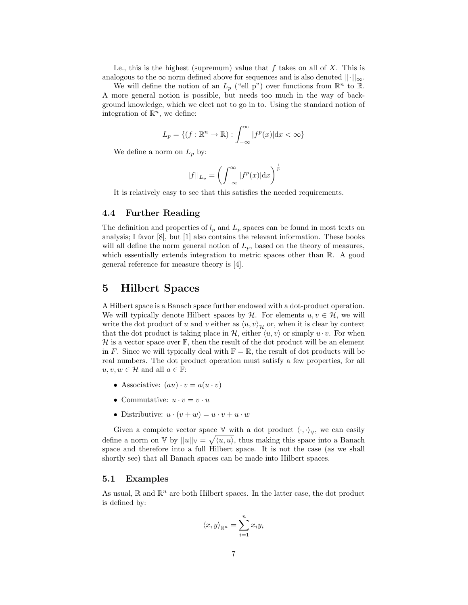I.e., this is the highest (supremum) value that  $f$  takes on all of  $X$ . This is analogous to the  $\infty$  norm defined above for sequences and is also denoted  $\|\cdot\|_{\infty}$ .

We will define the notion of an  $L_p$  ("ell p") over functions from  $\mathbb{R}^n$  to  $\mathbb{R}$ . A more general notion is possible, but needs too much in the way of background knowledge, which we elect not to go in to. Using the standard notion of integration of  $\mathbb{R}^n$ , we define:

$$
L_p = \{ (f: \mathbb{R}^n \to \mathbb{R}) : \int_{-\infty}^{\infty} |f^p(x)| \, \mathrm{d}x < \infty \}
$$

We define a norm on  $L_p$  by:

$$
||f||_{L_p} = \left(\int_{-\infty}^{\infty} |f^p(x)| \mathrm{d}x\right)^{\frac{1}{p}}
$$

It is relatively easy to see that this satisfies the needed requirements.

## 4.4 Further Reading

The definition and properties of  $l_p$  and  $L_p$  spaces can be found in most texts on analysis; I favor [8], but [1] also contains the relevant information. These books will all define the norm general notion of  $L_p$ , based on the theory of measures, which essentially extends integration to metric spaces other than  $\mathbb{R}$ . A good general reference for measure theory is [4].

# 5 Hilbert Spaces

A Hilbert space is a Banach space further endowed with a dot-product operation. We will typically denote Hilbert spaces by  $\mathcal{H}$ . For elements  $u, v \in \mathcal{H}$ , we will write the dot product of u and v either as  $\langle u, v \rangle_{\mathcal{H}}$  or, when it is clear by context that the dot product is taking place in  $\mathcal{H}$ , either  $\langle u, v \rangle$  or simply  $u \cdot v$ . For when  $\mathcal H$  is a vector space over  $\mathbb F$ , then the result of the dot product will be an element in F. Since we will typically deal with  $\mathbb{F} = \mathbb{R}$ , the result of dot products will be real numbers. The dot product operation must satisfy a few properties, for all  $u, v, w \in \mathcal{H}$  and all  $a \in \mathbb{F}$ :

- Associative:  $(au) \cdot v = a(u \cdot v)$
- Commutative:  $u \cdot v = v \cdot u$
- Distributive:  $u \cdot (v + w) = u \cdot v + u \cdot w$

Given a complete vector space  $V$  with a dot product  $\langle \cdot, \cdot \rangle_V$ , we can easily define a norm on V by  $||u||_V = \sqrt{\langle u, u \rangle}$ , thus making this space into a Banach space and therefore into a full Hilbert space. It is not the case (as we shall shortly see) that all Banach spaces can be made into Hilbert spaces.

# 5.1 Examples

As usual,  $\mathbb{R}$  and  $\mathbb{R}^n$  are both Hilbert spaces. In the latter case, the dot product is defined by:

$$
\langle x, y \rangle_{\mathbb{R}^n} = \sum_{i=1}^n x_i y_i
$$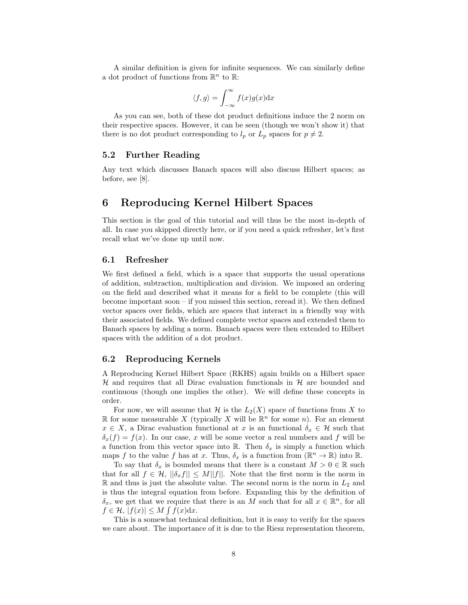A similar definition is given for infinite sequences. We can similarly define a dot product of functions from  $\mathbb{R}^n$  to  $\mathbb{R}$ :

$$
\langle f, g \rangle = \int_{-\infty}^{\infty} f(x)g(x) \mathrm{d}x
$$

As you can see, both of these dot product definitions induce the 2 norm on their respective spaces. However, it can be seen (though we won't show it) that there is no dot product corresponding to  $l_p$  or  $L_p$  spaces for  $p \neq 2$ .

# 5.2 Further Reading

Any text which discusses Banach spaces will also discuss Hilbert spaces; as before, see [8].

# 6 Reproducing Kernel Hilbert Spaces

This section is the goal of this tutorial and will thus be the most in-depth of all. In case you skipped directly here, or if you need a quick refresher, let's first recall what we've done up until now.

## 6.1 Refresher

We first defined a field, which is a space that supports the usual operations of addition, subtraction, multiplication and division. We imposed an ordering on the field and described what it means for a field to be complete (this will become important soon – if you missed this section, reread it). We then defined vector spaces over fields, which are spaces that interact in a friendly way with their associated fields. We defined complete vector spaces and extended them to Banach spaces by adding a norm. Banach spaces were then extended to Hilbert spaces with the addition of a dot product.

# 6.2 Reproducing Kernels

A Reproducing Kernel Hilbert Space (RKHS) again builds on a Hilbert space  $H$  and requires that all Dirac evaluation functionals in  $H$  are bounded and continuous (though one implies the other). We will define these concepts in order.

For now, we will assume that  $\mathcal H$  is the  $L_2(X)$  space of functions from X to  $\mathbb R$  for some measurable X (typically X will be  $\mathbb R^n$  for some n). For an element  $x \in X$ , a Dirac evaluation functional at x is an functional  $\delta_x \in \mathcal{H}$  such that  $\delta_x(f) = f(x)$ . In our case, x will be some vector a real numbers and f will be a function from this vector space into R. Then  $\delta_x$  is simply a function which maps f to the value f has at x. Thus,  $\delta_x$  is a function from  $(\mathbb{R}^n \to \mathbb{R})$  into  $\mathbb{R}$ .

To say that  $\delta_x$  is bounded means that there is a constant  $M > 0 \in \mathbb{R}$  such that for all  $f \in \mathcal{H}, ||\delta_x f|| \leq M||f||$ . Note that the first norm is the norm in  $\mathbb R$  and thus is just the absolute value. The second norm is the norm in  $L_2$  and is thus the integral equation from before. Expanding this by the definition of  $\delta_x$ , we get that we require that there is an M such that for all  $x \in \mathbb{R}^n$ , for all  $f \in \mathcal{H}, |f(x)| \leq M \int f(x) dx.$ 

This is a somewhat technical definition, but it is easy to verify for the spaces we care about. The importance of it is due to the Riesz representation theorem,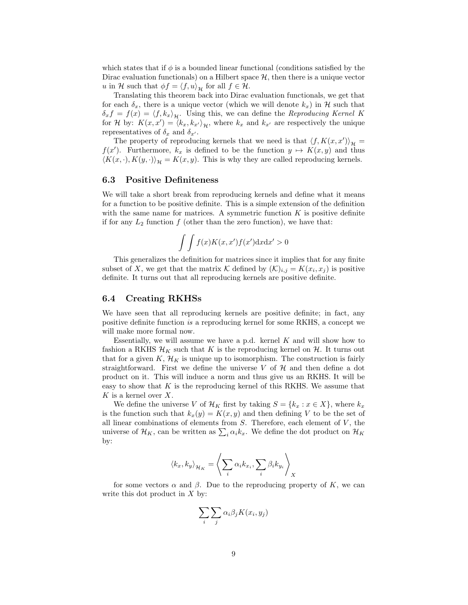which states that if  $\phi$  is a bounded linear functional (conditions satisfied by the Dirac evaluation functionals) on a Hilbert space  $H$ , then there is a unique vector u in H such that  $\phi f = \langle f, u \rangle_{\mathcal{H}}$  for all  $f \in \mathcal{H}$ .

Translating this theorem back into Dirac evaluation functionals, we get that for each  $\delta_x$ , there is a unique vector (which we will denote  $k_x$ ) in H such that  $\delta_x f = f(x) = \langle f, k_x \rangle_{\mathcal{H}}$ . Using this, we can define the Reproducing Kernel K for H by:  $K(x, x') = (k_x, k_{x'})_{\mathcal{H}}$ , where  $k_x$  and  $k_{x'}$  are respectively the unique representatives of  $\delta_x$  and  $\delta_{x'}$ .

The property of reproducing kernels that we need is that  $\langle f, K(x, x') \rangle_{\mathcal{H}} =$  $f(x')$ . Furthermore,  $k_x$  is defined to be the function  $y \mapsto K(x, y)$  and thus  $\langle K(x, \cdot), K(y, \cdot) \rangle_{\mathcal{H}} = K(x, y)$ . This is why they are called reproducing kernels.

# 6.3 Positive Definiteness

We will take a short break from reproducing kernels and define what it means for a function to be positive definite. This is a simple extension of the definition with the same name for matrices. A symmetric function  $K$  is positive definite if for any  $L_2$  function f (other than the zero function), we have that:

$$
\int \int f(x)K(x, x')f(x')\mathrm{d}x\mathrm{d}x' > 0
$$

This generalizes the definition for matrices since it implies that for any finite subset of X, we get that the matrix K defined by  $(\mathcal{K})_{i,j} = K(x_i, x_j)$  is positive definite. It turns out that all reproducing kernels are positive definite.

## 6.4 Creating RKHSs

We have seen that all reproducing kernels are positive definite; in fact, any positive definite function is a reproducing kernel for some RKHS, a concept we will make more formal now.

Essentially, we will assume we have a p.d. kernel  $K$  and will show how to fashion a RKHS  $\mathcal{H}_K$  such that K is the reproducing kernel on  $\mathcal{H}$ . It turns out that for a given  $K$ ,  $\mathcal{H}_K$  is unique up to isomorphism. The construction is fairly straightforward. First we define the universe V of  $\mathcal H$  and then define a dot product on it. This will induce a norm and thus give us an RKHS. It will be easy to show that  $K$  is the reproducing kernel of this RKHS. We assume that  $K$  is a kernel over  $X$ .

We define the universe V of  $\mathcal{H}_K$  first by taking  $S = \{k_x : x \in X\}$ , where  $k_x$ is the function such that  $k_x(y) = K(x, y)$  and then defining V to be the set of all linear combinations of elements from  $S$ . Therefore, each element of  $V$ , the universe of  $\mathcal{H}_K$ , can be written as  $\sum_i \alpha_i k_x$ . We define the dot product on  $\mathcal{H}_K$ by:

$$
\langle k_x, k_y \rangle_{\mathcal{H}_K} = \left\langle \sum_i \alpha_i k_{x_i}, \sum_i \beta_i k_{y_i} \right\rangle_X
$$

for some vectors  $\alpha$  and  $\beta$ . Due to the reproducing property of K, we can write this dot product in  $X$  by:

$$
\sum_{i} \sum_{j} \alpha_{i} \beta_{j} K(x_{i}, y_{j})
$$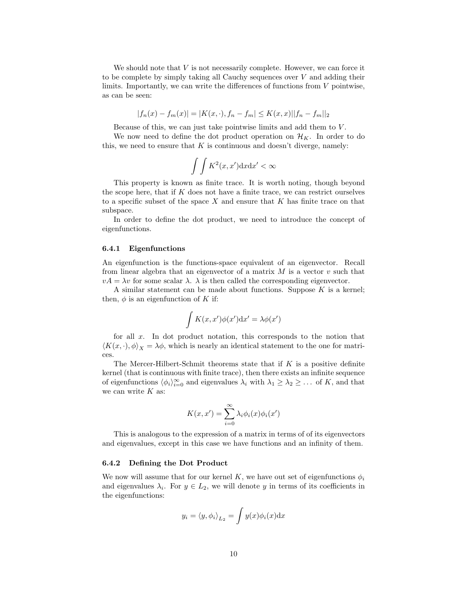We should note that  $V$  is not necessarily complete. However, we can force it to be complete by simply taking all Cauchy sequences over V and adding their limits. Importantly, we can write the differences of functions from  $V$  pointwise, as can be seen:

$$
|f_n(x) - f_m(x)| = |K(x, \cdot), f_n - f_m| \le K(x, x) ||f_n - f_m||_2
$$

Because of this, we can just take pointwise limits and add them to  $V$ .

We now need to define the dot product operation on  $\mathcal{H}_K$ . In order to do this, we need to ensure that  $K$  is continuous and doesn't diverge, namely:

$$
\int \int K^2(x, x') \mathrm{d}x \mathrm{d}x' < \infty
$$

This property is known as finite trace. It is worth noting, though beyond the scope here, that if  $K$  does not have a finite trace, we can restrict ourselves to a specific subset of the space  $X$  and ensure that  $K$  has finite trace on that subspace.

In order to define the dot product, we need to introduce the concept of eigenfunctions.

#### 6.4.1 Eigenfunctions

An eigenfunction is the functions-space equivalent of an eigenvector. Recall from linear algebra that an eigenvector of a matrix  $M$  is a vector  $v$  such that  $vA = \lambda v$  for some scalar  $\lambda$ .  $\lambda$  is then called the corresponding eigenvector.

A similar statement can be made about functions. Suppose  $K$  is a kernel; then,  $\phi$  is an eigenfunction of K if:

$$
\int K(x, x')\phi(x')\mathrm{d}x' = \lambda\phi(x')
$$

for all  $x$ . In dot product notation, this corresponds to the notion that  $\langle K(x, \cdot), \phi \rangle_X = \lambda \phi$ , which is nearly an identical statement to the one for matrices.

The Mercer-Hilbert-Schmit theorems state that if  $K$  is a positive definite kernel (that is continuous with finite trace), then there exists an infinite sequence of eigenfunctions  $\langle \phi_i \rangle_{i=0}^{\infty}$  and eigenvalues  $\lambda_i$  with  $\lambda_1 \geq \lambda_2 \geq \ldots$  of K, and that we can write  $K$  as:

$$
K(x, x') = \sum_{i=0}^{\infty} \lambda_i \phi_i(x) \phi_i(x')
$$

This is analogous to the expression of a matrix in terms of of its eigenvectors and eigenvalues, except in this case we have functions and an infinity of them.

#### 6.4.2 Defining the Dot Product

We now will assume that for our kernel K, we have out set of eigenfunctions  $\phi_i$ and eigenvalues  $\lambda_i$ . For  $y \in L_2$ , we will denote y in terms of its coefficients in the eigenfunctions:

$$
y_i = \langle y, \phi_i \rangle_{L_2} = \int y(x) \phi_i(x) dx
$$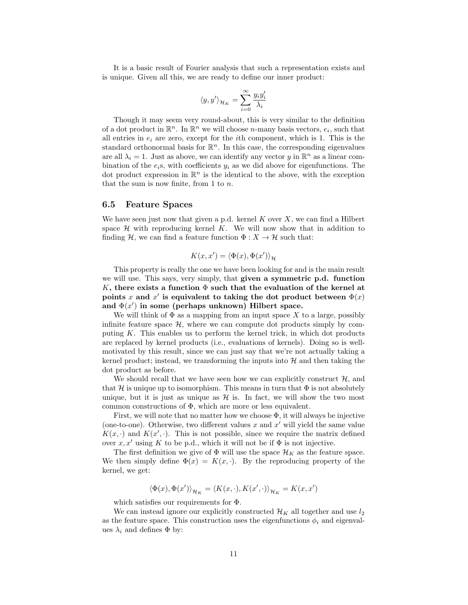It is a basic result of Fourier analysis that such a representation exists and is unique. Given all this, we are ready to define our inner product:

$$
\langle y,y' \rangle_{\mathcal{H}_K} = \sum_{i=0}^\infty \frac{y_i y'_i}{\lambda_i}
$$

Though it may seem very round-about, this is very similar to the definition of a dot product in  $\mathbb{R}^n$ . In  $\mathbb{R}^n$  we will choose *n*-many basis vectors,  $e_i$ , such that all entries in  $e_i$  are zero, except for the *i*th component, which is 1. This is the standard orthonormal basis for  $\mathbb{R}^n$ . In this case, the corresponding eigenvalues are all  $\lambda_i = 1$ . Just as above, we can identify any vector y in  $\mathbb{R}^n$  as a linear combination of the  $e_i$ s, with coefficients  $y_i$  as we did above for eigenfunctions. The dot product expression in  $\mathbb{R}^n$  is the identical to the above, with the exception that the sum is now finite, from 1 to  $n$ .

#### 6.5 Feature Spaces

We have seen just now that given a p.d. kernel  $K$  over  $X$ , we can find a Hilbert space  $H$  with reproducing kernel K. We will now show that in addition to finding H, we can find a feature function  $\Phi: X \to \mathcal{H}$  such that:

$$
K(x,x')=\langle \Phi(x),\Phi(x')\rangle_{\mathcal{H}}
$$

This property is really the one we have been looking for and is the main result we will use. This says, very simply, that given a symmetric p.d. function K, there exists a function  $\Phi$  such that the evaluation of the kernel at points x and x' is equivalent to taking the dot product between  $\Phi(x)$ and  $\Phi(x')$  in some (perhaps unknown) Hilbert space.

We will think of  $\Phi$  as a mapping from an input space X to a large, possibly infinite feature space  $H$ , where we can compute dot products simply by computing  $K$ . This enables us to perform the kernel trick, in which dot products are replaced by kernel products (i.e., evaluations of kernels). Doing so is wellmotivated by this result, since we can just say that we're not actually taking a kernel product; instead, we transforming the inputs into  $H$  and then taking the dot product as before.

We should recall that we have seen how we can explicitly construct  $\mathcal{H}$ , and that H is unique up to isomorphism. This means in turn that  $\Phi$  is not absolutely unique, but it is just as unique as  $\mathcal{H}$  is. In fact, we will show the two most common constructions of Φ, which are more or less equivalent.

First, we will note that no matter how we choose  $\Phi$ , it will always be injective (one-to-one). Otherwise, two different values  $x$  and  $x'$  will yield the same value  $K(x, \cdot)$  and  $K(x', \cdot)$ . This is not possible, since we require the matrix defined over  $x, x'$  using K to be p.d., which it will not be if  $\Phi$  is not injective.

The first definition we give of  $\Phi$  will use the space  $\mathcal{H}_K$  as the feature space. We then simply define  $\Phi(x) = K(x, \cdot)$ . By the reproducing property of the kernel, we get:

$$
\langle \Phi(x),\Phi(x')\rangle_{\mathcal{H}_K}=\langle K(x,\cdot),K(x',\cdot)\rangle_{\mathcal{H}_K}=K(x,x')
$$

which satisfies our requirements for Φ.

We can instead ignore our explicitly constructed  $\mathcal{H}_K$  all together and use  $l_2$ as the feature space. This construction uses the eigenfunctions  $\phi_i$  and eigenvalues  $\lambda_i$  and defines  $\Phi$  by: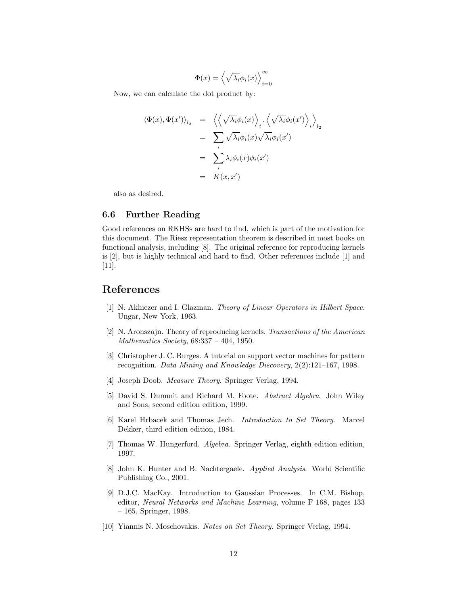$$
\Phi(x) = \left\langle \sqrt{\lambda_i} \phi_i(x) \right\rangle_{i=0}^{\infty}
$$

Now, we can calculate the dot product by:

$$
\langle \Phi(x), \Phi(x') \rangle_{l_2} = \left\langle \left\langle \sqrt{\lambda_i} \phi_i(x) \right\rangle_i, \left\langle \sqrt{\lambda_i} \phi_i(x') \right\rangle_l \right\rangle_{l_2}
$$
  

$$
= \sum_i \sqrt{\lambda_i} \phi_i(x) \sqrt{\lambda_i} \phi_i(x')
$$
  

$$
= \sum_i \lambda_i \phi_i(x) \phi_i(x')
$$
  

$$
= K(x, x')
$$

also as desired.

# 6.6 Further Reading

Good references on RKHSs are hard to find, which is part of the motivation for this document. The Riesz representation theorem is described in most books on functional analysis, including [8]. The original reference for reproducing kernels is [2], but is highly technical and hard to find. Other references include [1] and [11].

# References

- [1] N. Akhiezer and I. Glazman. Theory of Linear Operators in Hilbert Space. Ungar, New York, 1963.
- [2] N. Aronszajn. Theory of reproducing kernels. Transactions of the American Mathematics Society, 68:337 – 404, 1950.
- [3] Christopher J. C. Burges. A tutorial on support vector machines for pattern recognition. Data Mining and Knowledge Discovery, 2(2):121–167, 1998.
- [4] Joseph Doob. Measure Theory. Springer Verlag, 1994.
- [5] David S. Dummit and Richard M. Foote. Abstract Algebra. John Wiley and Sons, second edition edition, 1999.
- [6] Karel Hrbacek and Thomas Jech. Introduction to Set Theory. Marcel Dekker, third edition edition, 1984.
- [7] Thomas W. Hungerford. Algebra. Springer Verlag, eighth edition edition, 1997.
- [8] John K. Hunter and B. Nachtergaele. Applied Analysis. World Scientific Publishing Co., 2001.
- [9] D.J.C. MacKay. Introduction to Gaussian Processes. In C.M. Bishop, editor, Neural Networks and Machine Learning, volume F 168, pages 133 – 165. Springer, 1998.
- [10] Yiannis N. Moschovakis. Notes on Set Theory. Springer Verlag, 1994.